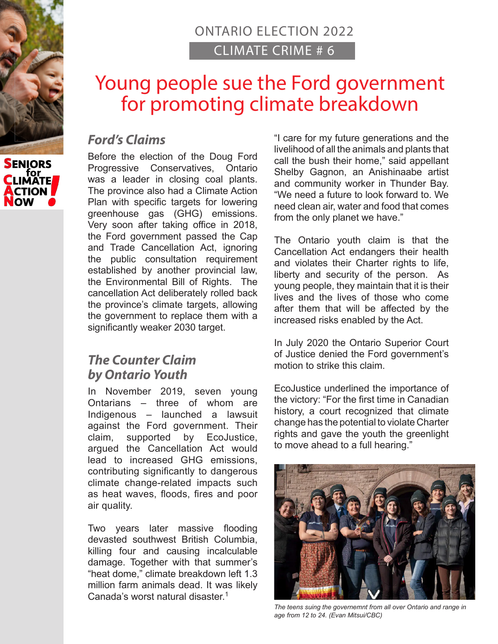## ONTARIO ELECTION 2022 CLIMATE CRIME # 6

# Young people sue the Ford government for promoting climate breakdown

### *Ford's Claims*

Before the election of the Doug Ford Progressive Conservatives, Ontario was a leader in closing coal plants. The province also had a Climate Action Plan with specific targets for lowering greenhouse gas (GHG) emissions. Very soon after taking office in 2018, the Ford government passed the Cap and Trade Cancellation Act, ignoring the public consultation requirement established by another provincial law, the Environmental Bill of Rights. The cancellation Act deliberately rolled back the province's climate targets, allowing the government to replace them with a significantly weaker 2030 target.

### *The Counter Claim by Ontario Youth*

In November 2019, seven young Ontarians – three of whom are Indigenous – launched a lawsuit against the Ford government. Their claim, supported by EcoJustice, argued the Cancellation Act would lead to increased GHG emissions, contributing significantly to dangerous climate change-related impacts such as heat waves, floods, fires and poor air quality.

Two years later massive flooding devasted southwest British Columbia, killing four and causing incalculable damage. Together with that summer's "heat dome," climate breakdown left 1.3 million farm animals dead. It was likely Canada's worst natural disaster.<sup>1</sup>

"I care for my future generations and the livelihood of all the animals and plants that call the bush their home," said appellant Shelby Gagnon, an Anishinaabe artist and community worker in Thunder Bay. "We need a future to look forward to. We need clean air, water and food that comes from the only planet we have."

The Ontario youth claim is that the Cancellation Act endangers their health and violates their Charter rights to life, liberty and security of the person. As young people, they maintain that it is their lives and the lives of those who come after them that will be affected by the increased risks enabled by the Act.

In July 2020 the Ontario Superior Court of Justice denied the Ford government's motion to strike this claim.

EcoJustice underlined the importance of the victory: "For the first time in Canadian history, a court recognized that climate change has the potential to violate Charter rights and gave the youth the greenlight to move ahead to a full hearing."



*The teens suing the governemnt from all over Ontario and range in age from 12 to 24. (Evan Mitsui/CBC)*